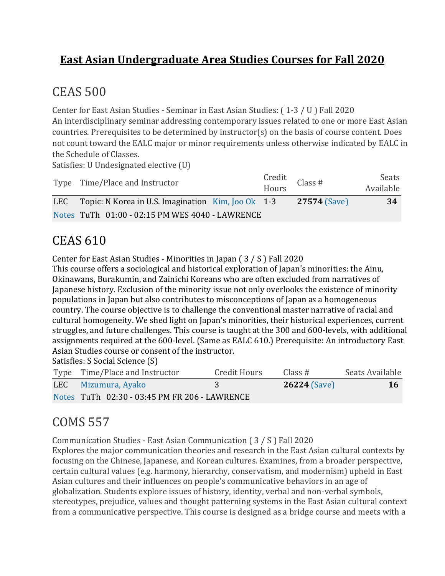#### **East Asian Undergraduate Area Studies Courses for Fall 2020**

### CEAS 500

Center for East Asian Studies - Seminar in East Asian Studies: ( 1-3 / U ) Fall 2020 An interdisciplinary seminar addressing contemporary issues related to one or more East Asian countries. Prerequisites to be determined by instructor(s) on the basis of course content. Does not count toward the EALC major or minor requirements unless otherwise indicated by EALC in the Schedule of Classes.

Satisfies: U Undesignated elective (U)

| Type Time/Place and Instructor                              | Credit<br>Hours Class # | Seats<br>Available |
|-------------------------------------------------------------|-------------------------|--------------------|
| LEC Topic: N Korea in U.S. Imagination $\,$ Kim, Joo Ok 1-3 | <b>27574 (Save)</b>     | 34                 |
| Notes TuTh 01:00 - 02:15 PM WES 4040 - LAWRENCE             |                         |                    |

### CEAS 610

Center for East Asian Studies - Minorities in Japan ( 3 / S ) Fall 2020

This course offers a sociological and historical exploration of Japan's minorities: the Ainu, Okinawans, Burakumin, and Zainichi Koreans who are often excluded from narratives of Japanese history. Exclusion of the minority issue not only overlooks the existence of minority populations in Japan but also contributes to misconceptions of Japan as a homogeneous country. The course objective is to challenge the conventional master narrative of racial and cultural homogeneity. We shed light on Japan's minorities, their historical experiences, current struggles, and future challenges. This course is taught at the 300 and 600-levels, with additional assignments required at the 600-level. (Same as EALC 610.) Prerequisite: An introductory East Asian Studies course or consent of the instructor.

Satisfies: S Social Science (S)

| Type Time/Place and Instructor                | Credit Hours | Class $#$           | Seats Available |
|-----------------------------------------------|--------------|---------------------|-----------------|
| LEC Mizumura, Ayako                           |              | <b>26224 (Save)</b> | <b>16</b>       |
| Notes TuTh 02:30 - 03:45 PM FR 206 - LAWRENCE |              |                     |                 |

# COMS 557

Communication Studies - East Asian Communication ( 3 / S ) Fall 2020

Explores the major communication theories and research in the East Asian cultural contexts by focusing on the Chinese, Japanese, and Korean cultures. Examines, from a broader perspective, certain cultural values (e.g. harmony, hierarchy, conservatism, and modernism) upheld in East Asian cultures and their influences on people's communicative behaviors in an age of globalization. Students explore issues of history, identity, verbal and non-verbal symbols, stereotypes, prejudice, values and thought patterning systems in the East Asian cultural context from a communicative perspective. This course is designed as a bridge course and meets with a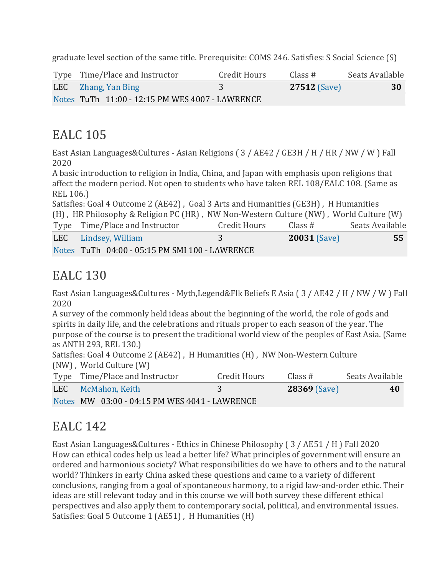graduate level section of the same title. Prerequisite: COMS 246. Satisfies: S Social Science (S)

| Type Time/Place and Instructor                  | Credit Hours | Class #             | Seats Available |
|-------------------------------------------------|--------------|---------------------|-----------------|
| <b>LEC</b> Zhang, Yan Bing                      |              | <b>27512 (Save)</b> | 30              |
| Notes TuTh 11:00 - 12:15 PM WES 4007 - LAWRENCE |              |                     |                 |

#### EALC 105

East Asian Languages&Cultures - Asian Religions ( 3 / AE42 / GE3H / H / HR / NW / W ) Fall 2020

A basic introduction to religion in India, China, and Japan with emphasis upon religions that affect the modern period. Not open to students who have taken REL 108/EALC 108. (Same as REL 106.)

Satisfies: Goal 4 Outcome 2 (AE42) , Goal 3 Arts and Humanities (GE3H) , H Humanities (H) , HR Philosophy & Religion PC (HR) , NW Non-Western Culture (NW) , World Culture (W) Type Time/Place and Instructor Credit Hours Class # Seats Available LEC [Lindsey,](https://classes.ku.edu/Classes/InstructorLink.action?searchTerm=Uk1ianRtVUdTQU44Y2tMTC81RWJPQT09) William 3 **20031** [\(Save\)](javascript:;) **55** [Notes](javascript:;) TuTh 04:00 - 05:15 PM SMI 100 - LAWRENCE

#### EALC 130

East Asian Languages&Cultures - Myth,Legend&Flk Beliefs E Asia ( 3 / AE42 / H / NW / W ) Fall 2020

A survey of the commonly held ideas about the beginning of the world, the role of gods and spirits in daily life, and the celebrations and rituals proper to each season of the year. The purpose of the course is to present the traditional world view of the peoples of East Asia. (Same as ANTH 293, REL 130.)

Satisfies: Goal 4 Outcome 2 (AE42) , H Humanities (H) , NW Non-Western Culture (NW) , World Culture (W)

| Type Time/Place and Instructor                | Credit Hours | Class #             | Seats Available |
|-----------------------------------------------|--------------|---------------------|-----------------|
| LEC McMahon, Keith                            |              | <b>28369 (Save)</b> | 40              |
| Notes MW 03:00 - 04:15 PM WES 4041 - LAWRENCE |              |                     |                 |

### EALC 142

East Asian Languages&Cultures - Ethics in Chinese Philosophy ( 3 / AE51 / H ) Fall 2020 How can ethical codes help us lead a better life? What principles of government will ensure an ordered and harmonious society? What responsibilities do we have to others and to the natural world? Thinkers in early China asked these questions and came to a variety of different conclusions, ranging from a goal of spontaneous harmony, to a rigid law-and-order ethic. Their ideas are still relevant today and in this course we will both survey these different ethical perspectives and also apply them to contemporary social, political, and environmental issues. Satisfies: Goal 5 Outcome 1 (AE51), H Humanities (H)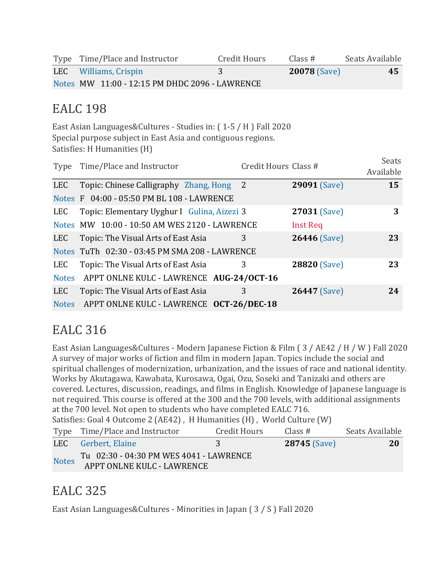| Type Time/Place and Instructor                 | Credit Hours | Class #             | Seats Available |
|------------------------------------------------|--------------|---------------------|-----------------|
| LEC Williams, Crispin                          |              | <b>20078 (Save)</b> | 45              |
| Notes MW 11:00 - 12:15 PM DHDC 2096 - LAWRENCE |              |                     |                 |

#### EALC 198

East Asian Languages&Cultures - Studies in: ( 1-5 / H ) Fall 2020 Special purpose subject in East Asia and contiguous regions. Satisfies: H Humanities (H)

| Type       | Time/Place and Instructor                      | Credit Hours Class # |                     | <b>Seats</b><br>Available |
|------------|------------------------------------------------|----------------------|---------------------|---------------------------|
| LEC        | Topic: Chinese Calligraphy Zhang, Hong 2       |                      | <b>29091 (Save)</b> | 15                        |
|            | Notes F 04:00 - 05:50 PM BL 108 - LAWRENCE     |                      |                     |                           |
| <b>LEC</b> | Topic: Elementary Uyghur I Gulina, Aizezi 3    |                      | 27031 (Save)        | 3                         |
|            | Notes MW 10:00 - 10:50 AM WES 2120 - LAWRENCE  |                      | <b>Inst Req</b>     |                           |
| <b>LEC</b> | Topic: The Visual Arts of East Asia            | 3                    | <b>26446 (Save)</b> | 23                        |
|            | Notes TuTh 02:30 - 03:45 PM SMA 208 - LAWRENCE |                      |                     |                           |
| <b>LEC</b> | Topic: The Visual Arts of East Asia            | 3                    | 28820 (Save)        | 23                        |
|            | Notes APPT ONLNE KULC - LAWRENCE AUG-24/OCT-16 |                      |                     |                           |
| <b>LEC</b> | Topic: The Visual Arts of East Asia            | 3                    | <b>26447</b> (Save) | 24                        |
|            | Notes APPT ONLNE KULC - LAWRENCE OCT-26/DEC-18 |                      |                     |                           |

### EALC 316

East Asian Languages&Cultures - Modern Japanese Fiction & Film ( 3 / AE42 / H / W ) Fall 2020 A survey of major works of fiction and film in modern Japan. Topics include the social and spiritual challenges of modernization, urbanization, and the issues of race and national identity. Works by Akutagawa, Kawabata, Kurosawa, Ogai, Ozu, Soseki and Tanizaki and others are covered. Lectures, discussion, readings, and films in English. Knowledge of Japanese language is not required. This course is offered at the 300 and the 700 levels, with additional assignments at the 700 level. Not open to students who have completed EALC 716. Satisfies: Goal 4 Outcome 2 (AE42) , H Humanities (H) , World Culture (W) Type Time/Place and Instructor Credit Hours Class # Seats Available

|              | LEC Gerbert, Elaine                     | <b>28745 (Save)</b> | 20 |
|--------------|-----------------------------------------|---------------------|----|
| <b>Notes</b> | Tu 02:30 - 04:30 PM WES 4041 - LAWRENCE |                     |    |
|              | <b>APPT ONLNE KULC - LAWRENCE</b>       |                     |    |

# EALC 325

East Asian Languages&Cultures - Minorities in Japan ( 3 / S ) Fall 2020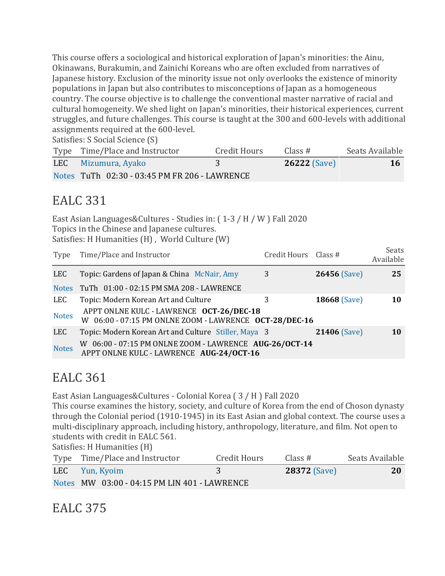This course offers a sociological and historical exploration of Japan's minorities: the Ainu, Okinawans, Burakumin, and Zainichi Koreans who are often excluded from narratives of Japanese history. Exclusion of the minority issue not only overlooks the existence of minority populations in Japan but also contributes to misconceptions of Japan as a homogeneous country. The course objective is to challenge the conventional master narrative of racial and cultural homogeneity. We shed light on Japan's minorities, their historical experiences, current struggles, and future challenges. This course is taught at the 300 and 600-levels with additional assignments required at the 600-level.

Satisfies: S Social Science (S)

| Type Time/Place and Instructor                | Credit Hours | Class $#$           | Seats Available |
|-----------------------------------------------|--------------|---------------------|-----------------|
| LEC Mizumura, Ayako                           |              | <b>26222</b> (Save) | <b>16</b>       |
| Notes TuTh 02:30 - 03:45 PM FR 206 - LAWRENCE |              |                     |                 |

#### EALC 331

East Asian Languages&Cultures - Studies in: ( 1-3 / H / W ) Fall 2020 Topics in the Chinese and Japanese cultures. Satisfies: H Humanities (H) , World Culture (W)

| Type         | Time/Place and Instructor                                                                          | Credit Hours Class # |                     | Seats<br>Available |
|--------------|----------------------------------------------------------------------------------------------------|----------------------|---------------------|--------------------|
| LEC          | Topic: Gardens of Japan & China McNair, Amy                                                        | 3                    | <b>26456</b> (Save) | 25                 |
| <b>Notes</b> | TuTh 01:00 - 02:15 PM SMA 208 - LAWRENCE                                                           |                      |                     |                    |
| LEC          | Topic: Modern Korean Art and Culture                                                               | 3                    | <b>18668 (Save)</b> | 10                 |
| <b>Notes</b> | APPT ONLNE KULC - LAWRENCE OCT-26/DEC-18<br>W 06:00 - 07:15 PM ONLNE ZOOM - LAWRENCE OCT-28/DEC-16 |                      |                     |                    |
| <b>LEC</b>   | Topic: Modern Korean Art and Culture Stiller, Maya 3                                               |                      | <b>21406 (Save)</b> | <b>10</b>          |
| <b>Notes</b> | W 06:00 - 07:15 PM ONLNE ZOOM - LAWRENCE AUG-26/OCT-14<br>APPT ONLNE KULC - LAWRENCE AUG-24/OCT-16 |                      |                     |                    |

#### EALC 361

East Asian Languages&Cultures - Colonial Korea ( 3 / H ) Fall 2020 This course examines the history, society, and culture of Korea from the end of Choson dynasty through the Colonial period (1910-1945) in its East Asian and global context. The course uses a multi-disciplinary approach, including history, anthropology, literature, and film. Not open to students with credit in EALC 561.

Satisfies: H Humanities (H)

| Type Time/Place and Instructor               | Credit Hours | Class $#$           | Seats Available |
|----------------------------------------------|--------------|---------------------|-----------------|
| LEC Yun, Kyoim                               |              | <b>28372 (Save)</b> | 20              |
| Notes MW 03:00 - 04:15 PM LIN 401 - LAWRENCE |              |                     |                 |

EALC 375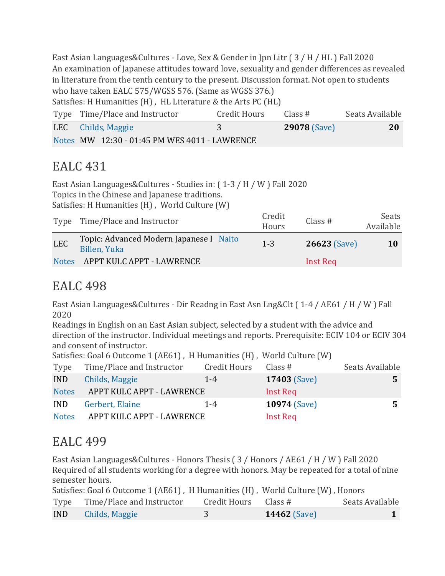East Asian Languages&Cultures - Love, Sex & Gender in Jpn Litr ( 3 / H / HL ) Fall 2020 An examination of Japanese attitudes toward love, sexuality and gender differences as revealed in literature from the tenth century to the present. Discussion format. Not open to students who have taken EALC 575/WGSS 576. (Same as WGSS 376.) Satisfies: H Humanities (H) , HL Literature & the Arts PC (HL)

| Type Time/Place and Instructor                | Credit Hours | Class#              | Seats Available |
|-----------------------------------------------|--------------|---------------------|-----------------|
| LEC Childs, Maggie                            |              | <b>29078 (Save)</b> | 20              |
| Notes MW 12:30 - 01:45 PM WES 4011 - LAWRENCE |              |                     |                 |

### EALC 431

East Asian Languages&Cultures - Studies in: ( 1-3 / H / W ) Fall 2020 Topics in the Chinese and Japanese traditions. Satisfies: H Humanities (H) , World Culture (W)

|            | Type Time/Place and Instructor                          | Credit<br>Hours | Class $#$           | Seats<br>Available |
|------------|---------------------------------------------------------|-----------------|---------------------|--------------------|
| <b>LEC</b> | Topic: Advanced Modern Japanese I Naito<br>Billen, Yuka | $1 - 3$         | <b>26623 (Save)</b> | <b>10</b>          |
|            | Notes APPT KULC APPT - LAWRENCE                         |                 | Inst Req            |                    |

#### EALC 498

East Asian Languages&Cultures - Dir Readng in East Asn Lng&Clt ( 1-4 / AE61 / H / W ) Fall 2020

Readings in English on an East Asian subject, selected by a student with the advice and direction of the instructor. Individual meetings and reports. Prerequisite: ECIV 104 or ECIV 304 and consent of instructor.

Satisfies: Goal 6 Outcome 1 (AE61), H Humanities (H), World Culture (W)

| Type         | Time/Place and Instructor | Credit Hours | Class #             | Seats Available |
|--------------|---------------------------|--------------|---------------------|-----------------|
| <b>IND</b>   | Childs, Maggie            | $1 - 4$      | <b>17403 (Save)</b> |                 |
| <b>Notes</b> | APPT KULC APPT - LAWRENCE |              | Inst Req            |                 |
| <b>IND</b>   | Gerbert, Elaine           | $1 - 4$      | <b>10974 (Save)</b> |                 |
| <b>Notes</b> | APPT KULC APPT - LAWRENCE |              | Inst Req            |                 |

### EALC 499

East Asian Languages&Cultures - Honors Thesis ( 3 / Honors / AE61 / H / W ) Fall 2020 Required of all students working for a degree with honors. May be repeated for a total of nine semester hours.

|            | Satisfies: Goal 6 Outcome 1 (AE61), H Humanities (H), World Culture (W), Honors |              |                     |                 |
|------------|---------------------------------------------------------------------------------|--------------|---------------------|-----------------|
|            | Type Time/Place and Instructor                                                  | Credit Hours | Class #             | Seats Available |
| <b>IND</b> | Childs, Maggie                                                                  |              | <b>14462</b> (Save) |                 |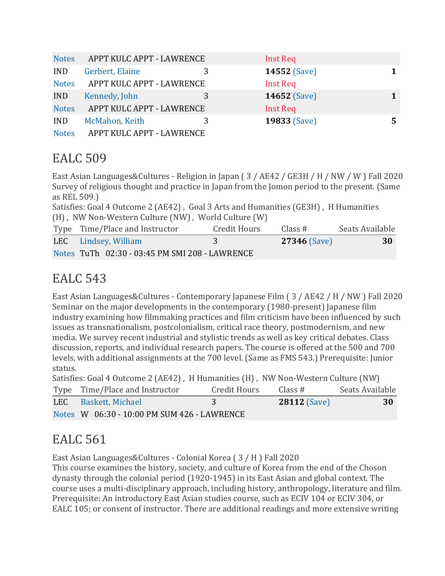| <b>Notes</b> | APPT KULC APPT - LAWRENCE | Inst Req            |   |
|--------------|---------------------------|---------------------|---|
| <b>IND</b>   | Gerbert, Elaine           | <b>14552 (Save)</b> | 1 |
| <b>Notes</b> | APPT KULC APPT - LAWRENCE | Inst Req            |   |
| <b>IND</b>   | Kennedy, John             | <b>14652 (Save)</b> | 1 |
| <b>Notes</b> | APPT KULC APPT - LAWRENCE | Inst Req            |   |
| <b>IND</b>   | McMahon, Keith            | 19833 (Save)        | 5 |
| <b>Notes</b> | APPT KULC APPT - LAWRENCE |                     |   |

### EALC 509

East Asian Languages&Cultures - Religion in Japan ( 3 / AE42 / GE3H / H / NW / W ) Fall 2020 Survey of religious thought and practice in Japan from the Jomon period to the present. (Same as REL 509.)

Satisfies: Goal 4 Outcome 2 (AE42) , Goal 3 Arts and Humanities (GE3H) , H Humanities (H) , NW Non-Western Culture (NW) , World Culture (W)

| Type Time/Place and Instructor                 | Credit Hours  | Class #             | Seats Available |
|------------------------------------------------|---------------|---------------------|-----------------|
| LEC Lindsey, William                           | $\mathcal{R}$ | <b>27346 (Save)</b> | 30              |
| Notes TuTh 02:30 - 03:45 PM SMI 208 - LAWRENCE |               |                     |                 |

# EALC 543

East Asian Languages&Cultures - Contemporary Japanese Film ( 3 / AE42 / H / NW ) Fall 2020 Seminar on the major developments in the contemporary (1980-present) Japanese film industry examining how filmmaking practices and film criticism have been influenced by such issues as transnationalism, postcolonialism, critical race theory, postmodernism, and new media. We survey recent industrial and stylistic trends as well as key critical debates. Class discussion, reports, and individual research papers. The course is offered at the 500 and 700 levels, with additional assignments at the 700 level. (Same as FMS 543.) Prerequisite: Junior status.

| Satisfies: Goal 4 Outcome 2 (AE42), H Humanities (H), NW Non-Western Culture (NW) |              |                     |                 |  |
|-----------------------------------------------------------------------------------|--------------|---------------------|-----------------|--|
| Type Time/Place and Instructor                                                    | Credit Hours | Class #             | Seats Available |  |
| LEC Baskett, Michael                                                              | -3           | <b>28112 (Save)</b> | 30              |  |
| Notes W 06:30 - 10:00 PM SUM 426 - LAWRENCE                                       |              |                     |                 |  |

# EALC 561

East Asian Languages&Cultures - Colonial Korea ( 3 / H ) Fall 2020

This course examines the history, society, and culture of Korea from the end of the Choson dynasty through the colonial period (1920-1945) in its East Asian and global context. The course uses a multi-disciplinary approach, including history, anthropology, literature and film. Prerequisite: An introductory East Asian studies course, such as ECIV 104 or ECIV 304, or EALC 105; or consent of instructor. There are additional readings and more extensive writing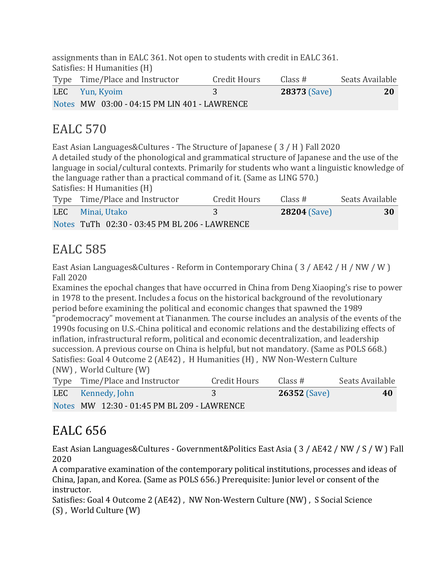assignments than in EALC 361. Not open to students with credit in EALC 361. Satisfies: H Humanities (H)

| Type Time/Place and Instructor               | Credit Hours | Class #             | Seats Available |
|----------------------------------------------|--------------|---------------------|-----------------|
| LEC Yun, Kyoim                               |              | <b>28373 (Save)</b> | 20              |
| Notes MW 03:00 - 04:15 PM LIN 401 - LAWRENCE |              |                     |                 |

### EALC 570

East Asian Languages&Cultures - The Structure of Japanese ( 3 / H ) Fall 2020 A detailed study of the phonological and grammatical structure of Japanese and the use of the language in social/cultural contexts. Primarily for students who want a linguistic knowledge of the language rather than a practical command of it. (Same as LING 570.) Satisfies: H Humanities (H)

| Type Time/Place and Instructor                | Credit Hours | Class #             | Seats Available |
|-----------------------------------------------|--------------|---------------------|-----------------|
| LEC Minai, Utako                              |              | <b>28204</b> (Save) | 30              |
| Notes TuTh 02:30 - 03:45 PM BL 206 - LAWRENCE |              |                     |                 |

# EALC 585

East Asian Languages&Cultures - Reform in Contemporary China ( 3 / AE42 / H / NW / W ) Fall 2020

Examines the epochal changes that have occurred in China from Deng Xiaoping's rise to power in 1978 to the present. Includes a focus on the historical background of the revolutionary period before examining the political and economic changes that spawned the 1989 "prodemocracy" movement at Tiananmen. The course includes an analysis of the events of the 1990s focusing on U.S.-China political and economic relations and the destabilizing effects of inflation, infrastructural reform, political and economic decentralization, and leadership succession. A previous course on China is helpful, but not mandatory. (Same as POLS 668.) Satisfies: Goal 4 Outcome 2 (AE42) , H Humanities (H) , NW Non-Western Culture (NW) , World Culture (W)

|  | Type Time/Place and Instructor              | Credit Hours | Class #        | Seats Available |
|--|---------------------------------------------|--------------|----------------|-----------------|
|  | LEC Kennedy, John                           |              | $26352$ (Save) | 40              |
|  | Notes MW 12:30 - 01:45 PM BL 209 - LAWRENCE |              |                |                 |

# EALC 656

East Asian Languages&Cultures - Government&Politics East Asia ( 3 / AE42 / NW / S / W ) Fall 2020

A comparative examination of the contemporary political institutions, processes and ideas of China, Japan, and Korea. (Same as POLS 656.) Prerequisite: Junior level or consent of the instructor.

Satisfies: Goal 4 Outcome 2 (AE42) , NW Non-Western Culture (NW) , S Social Science (S) , World Culture (W)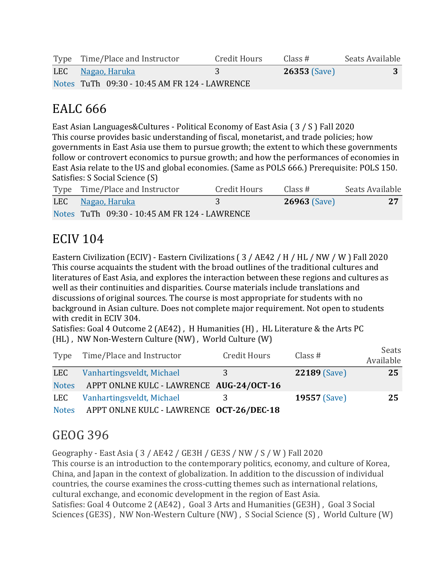| Type Time/Place and Instructor                | Credit Hours | Class #        | Seats Available |
|-----------------------------------------------|--------------|----------------|-----------------|
| LEC Nagao, Haruka                             |              | $26353$ (Save) |                 |
| Notes TuTh 09:30 - 10:45 AM FR 124 - LAWRENCE |              |                |                 |

### EALC 666

East Asian Languages&Cultures - Political Economy of East Asia ( 3 / S ) Fall 2020 This course provides basic understanding of fiscal, monetarist, and trade policies; how governments in East Asia use them to pursue growth; the extent to which these governments follow or controvert economics to pursue growth; and how the performances of economies in East Asia relate to the US and global economies. (Same as POLS 666.) Prerequisite: POLS 150. Satisfies: S Social Science (S)

| Type Time/Place and Instructor                | <b>Credit Hours</b> | Class #             | Seats Available |
|-----------------------------------------------|---------------------|---------------------|-----------------|
| LEC Nagao, Haruka                             |                     | <b>26963 (Save)</b> | 27              |
| Notes TuTh 09:30 - 10:45 AM FR 124 - LAWRENCE |                     |                     |                 |

### ECIV 104

Eastern Civilization (ECIV) - Eastern Civilizations ( 3 / AE42 / H / HL / NW / W ) Fall 2020 This course acquaints the student with the broad outlines of the traditional cultures and literatures of East Asia, and explores the interaction between these regions and cultures as well as their continuities and disparities. Course materials include translations and discussions of original sources. The course is most appropriate for students with no background in Asian culture. Does not complete major requirement. Not open to students with credit in ECIV 304.

Satisfies: Goal 4 Outcome 2 (AE42) , H Humanities (H) , HL Literature & the Arts PC (HL) , NW Non-Western Culture (NW) , World Culture (W)

|              | Type Time/Place and Instructor           | Credit Hours | Class $#$           | Seats<br>Available |
|--------------|------------------------------------------|--------------|---------------------|--------------------|
| LEC          | Vanhartingsveldt, Michael                | 3            | <b>22189 (Save)</b> | 25                 |
| <b>Notes</b> | APPT ONLNE KULC - LAWRENCE AUG-24/OCT-16 |              |                     |                    |
| LEC          | Vanhartingsveldt, Michael                | 3            | <b>19557 (Save)</b> | 25                 |
| <b>Notes</b> | APPT ONLNE KULC - LAWRENCE OCT-26/DEC-18 |              |                     |                    |

### GEOG 396

Geography - East Asia ( 3 / AE42 / GE3H / GE3S / NW / S / W ) Fall 2020

This course is an introduction to the contemporary politics, economy, and culture of Korea, China, and Japan in the context of globalization. In addition to the discussion of individual countries, the course examines the cross-cutting themes such as international relations, cultural exchange, and economic development in the region of East Asia. Satisfies: Goal 4 Outcome 2 (AE42) , Goal 3 Arts and Humanities (GE3H) , Goal 3 Social Sciences (GE3S) , NW Non-Western Culture (NW) , S Social Science (S) , World Culture (W)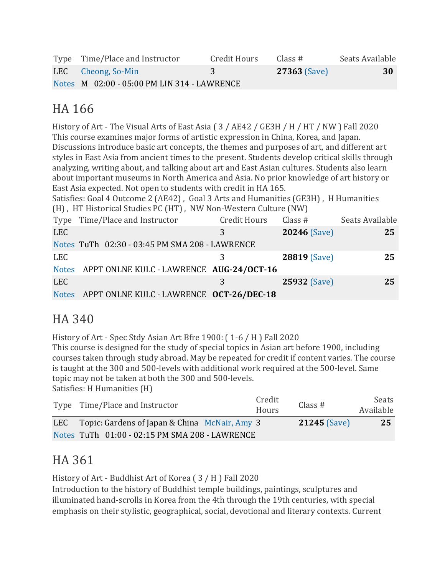| Type Time/Place and Instructor              | Credit Hours | Class #             | Seats Available |
|---------------------------------------------|--------------|---------------------|-----------------|
| LEC Cheong, So-Min                          |              | <b>27363 (Save)</b> | 30              |
| Notes M 02:00 - 05:00 PM LIN 314 - LAWRENCE |              |                     |                 |

# HA 166

History of Art - The Visual Arts of East Asia ( 3 / AE42 / GE3H / H / HT / NW ) Fall 2020 This course examines major forms of artistic expression in China, Korea, and Japan. Discussions introduce basic art concepts, the themes and purposes of art, and different art styles in East Asia from ancient times to the present. Students develop critical skills through analyzing, writing about, and talking about art and East Asian cultures. Students also learn about important museums in North America and Asia. No prior knowledge of art history or East Asia expected. Not open to students with credit in HA 165.

Satisfies: Goal 4 Outcome 2 (AE42) , Goal 3 Arts and Humanities (GE3H) , H Humanities (H) , HT Historical Studies PC (HT) , NW Non-Western Culture (NW)

|            | Type Time/Place and Instructor                 | Credit Hours | Class $#$           | Seats Available |
|------------|------------------------------------------------|--------------|---------------------|-----------------|
| <b>LEC</b> |                                                | З            | 20246 (Save)        | 25              |
|            | Notes TuTh 02:30 - 03:45 PM SMA 208 - LAWRENCE |              |                     |                 |
| <b>LEC</b> |                                                |              | <b>28819 (Save)</b> | 25              |
|            | Notes APPT ONLNE KULC - LAWRENCE AUG-24/OCT-16 |              |                     |                 |
| LEC        |                                                | 3            | 25932 (Save)        | 25              |
|            | Notes APPT ONLNE KULC - LAWRENCE OCT-26/DEC-18 |              |                     |                 |

# HA 340

History of Art - Spec Stdy Asian Art Bfre 1900: ( 1-6 / H ) Fall 2020

This course is designed for the study of special topics in Asian art before 1900, including courses taken through study abroad. May be repeated for credit if content varies. The course is taught at the 300 and 500-levels with additional work required at the 500-level. Same topic may not be taken at both the 300 and 500-levels. Satisfies: H Humanities (H)

| Type Time/Place and Instructor                    | Credit<br>Hours | Class #             | Seats<br>Available |
|---------------------------------------------------|-----------------|---------------------|--------------------|
| LEC Topic: Gardens of Japan & China McNair, Amy 3 |                 | <b>21245 (Save)</b> | -25                |
| Notes TuTh 01:00 - 02:15 PM SMA 208 - LAWRENCE    |                 |                     |                    |

# HA 361

History of Art - Buddhist Art of Korea ( 3 / H ) Fall 2020

Introduction to the history of Buddhist temple buildings, paintings, sculptures and illuminated hand-scrolls in Korea from the 4th through the 19th centuries, with special emphasis on their stylistic, geographical, social, devotional and literary contexts. Current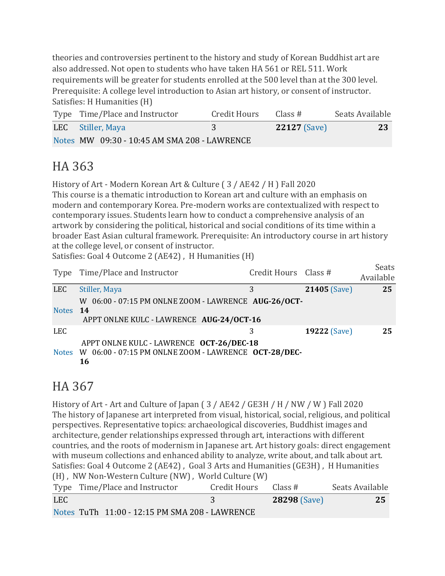theories and controversies pertinent to the history and study of Korean Buddhist art are also addressed. Not open to students who have taken HA 561 or REL 511. Work requirements will be greater for students enrolled at the 500 level than at the 300 level. Prerequisite: A college level introduction to Asian art history, or consent of instructor. Satisfies: H Humanities (H)

| Type Time/Place and Instructor               | Credit Hours | Class #             | Seats Available |
|----------------------------------------------|--------------|---------------------|-----------------|
| LEC Stiller, Maya                            |              | <b>22127</b> (Save) | -23             |
| Notes MW 09:30 - 10:45 AM SMA 208 - LAWRENCE |              |                     |                 |

# HA 363

History of Art - Modern Korean Art & Culture ( 3 / AE42 / H ) Fall 2020 This course is a thematic introduction to Korean art and culture with an emphasis on modern and contemporary Korea. Pre-modern works are contextualized with respect to contemporary issues. Students learn how to conduct a comprehensive analysis of an artwork by considering the political, historical and social conditions of its time within a broader East Asian cultural framework. Prerequisite: An introductory course in art history at the college level, or consent of instructor.

Satisfies: Goal 4 Outcome 2 (AE42), H Humanities (H)

|            | Type Time/Place and Instructor                                                                               | Credit Hours Class # |                     | Seats<br>Available |
|------------|--------------------------------------------------------------------------------------------------------------|----------------------|---------------------|--------------------|
| <b>LEC</b> | Stiller, Maya                                                                                                | 3                    | <b>21405 (Save)</b> | 25                 |
| Notes 14   | W 06:00 - 07:15 PM ONLNE ZOOM - LAWRENCE AUG-26/OCT-<br>APPT ONLNE KULC - LAWRENCE AUG-24/OCT-16             |                      |                     |                    |
| LEC.       |                                                                                                              | 3                    | <b>19222 (Save)</b> | 25                 |
|            | APPT ONLNE KULC - LAWRENCE OCT-26/DEC-18<br>Notes W 06:00 - 07:15 PM ONLNE ZOOM - LAWRENCE OCT-28/DEC-<br>16 |                      |                     |                    |

### HA 367

History of Art - Art and Culture of Japan ( 3 / AE42 / GE3H / H / NW / W ) Fall 2020 The history of Japanese art interpreted from visual, historical, social, religious, and political perspectives. Representative topics: archaeological discoveries, Buddhist images and architecture, gender relationships expressed through art, interactions with different countries, and the roots of modernism in Japanese art. Art history goals: direct engagement with museum collections and enhanced ability to analyze, write about, and talk about art. Satisfies: Goal 4 Outcome 2 (AE42) , Goal 3 Arts and Humanities (GE3H) , H Humanities (H) , NW Non-Western Culture (NW) , World Culture (W)

|            | Type Time/Place and Instructor                 | Credit Hours | Class #             | Seats Available |
|------------|------------------------------------------------|--------------|---------------------|-----------------|
| <b>LEC</b> |                                                |              | <b>28298 (Save)</b> | 25              |
|            | Notes TuTh 11:00 - 12:15 PM SMA 208 - LAWRENCE |              |                     |                 |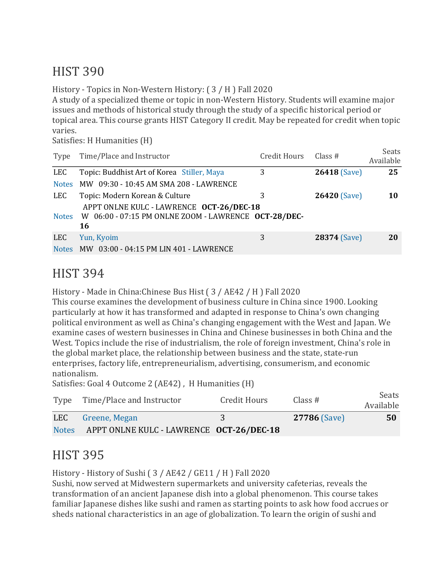### HIST 390

History - Topics in Non-Western History: ( 3 / H ) Fall 2020

A study of a specialized theme or topic in non-Western History. Students will examine major issues and methods of historical study through the study of a specific historical period or topical area. This course grants HIST Category II credit. May be repeated for credit when topic varies.

Satisfies: H Humanities (H)

| Type         | Time/Place and Instructor                                                                              | <b>Credit Hours</b> | Class $#$           | Seats<br>Available |
|--------------|--------------------------------------------------------------------------------------------------------|---------------------|---------------------|--------------------|
| <b>LEC</b>   | Topic: Buddhist Art of Korea Stiller, Maya                                                             | 3                   | 26418 (Save)        | 25                 |
| <b>Notes</b> | MW 09:30 - 10:45 AM SMA 208 - LAWRENCE                                                                 |                     |                     |                    |
| LEC          | Topic: Modern Korean & Culture                                                                         | 3                   | <b>26420 (Save)</b> | 10                 |
| <b>Notes</b> | APPT ONLNE KULC - LAWRENCE OCT-26/DEC-18<br>W 06:00 - 07:15 PM ONLNE ZOOM - LAWRENCE OCT-28/DEC-<br>16 |                     |                     |                    |
| <b>LEC</b>   | Yun, Kyoim                                                                                             | 3                   | 28374 (Save)        | 20                 |
| <b>Notes</b> | MW 03:00 - 04:15 PM LIN 401 - LAWRENCE                                                                 |                     |                     |                    |

#### HIST 394

History - Made in China:Chinese Bus Hist ( 3 / AE42 / H ) Fall 2020

This course examines the development of business culture in China since 1900. Looking particularly at how it has transformed and adapted in response to China's own changing political environment as well as China's changing engagement with the West and Japan. We examine cases of western businesses in China and Chinese businesses in both China and the West. Topics include the rise of industrialism, the role of foreign investment, China's role in the global market place, the relationship between business and the state, state-run enterprises, factory life, entrepreneurialism, advertising, consumerism, and economic nationalism.

Satisfies: Goal 4 Outcome 2 (AE42), H Humanities (H)

|              | Type Time/Place and Instructor           | Credit Hours | Class #             | Seats<br>Available |
|--------------|------------------------------------------|--------------|---------------------|--------------------|
|              | LEC Greene, Megan                        |              | <b>27786 (Save)</b> | 50                 |
| <b>Notes</b> | APPT ONLNE KULC - LAWRENCE OCT-26/DEC-18 |              |                     |                    |

#### HIST 395

History - History of Sushi ( 3 / AE42 / GE11 / H ) Fall 2020

Sushi, now served at Midwestern supermarkets and university cafeterias, reveals the transformation of an ancient Japanese dish into a global phenomenon. This course takes familiar Japanese dishes like sushi and ramen as starting points to ask how food accrues or sheds national characteristics in an age of globalization. To learn the origin of sushi and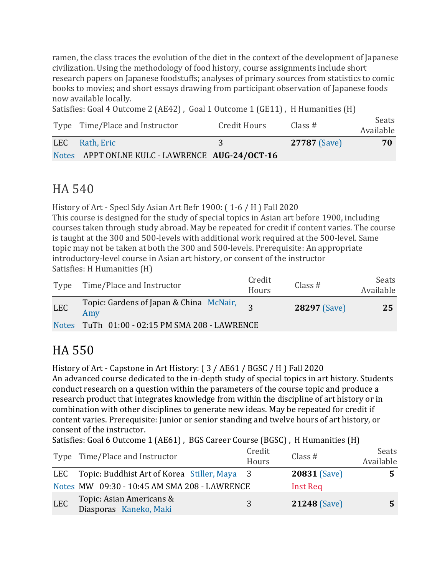ramen, the class traces the evolution of the diet in the context of the development of Japanese civilization. Using the methodology of food history, course assignments include short research papers on Japanese foodstuffs; analyses of primary sources from statistics to comic books to movies; and short essays drawing from participant observation of Japanese foods now available locally.

Satisfies: Goal 4 Outcome 2 (AE42), Goal 1 Outcome 1 (GE11), H Humanities (H)

| Type Time/Place and Instructor                 | Credit Hours | Class $#$           | Seats<br>Available |
|------------------------------------------------|--------------|---------------------|--------------------|
| LEC Rath, Eric                                 |              | <b>27787</b> (Save) | 70                 |
| Notes APPT ONLNE KULC - LAWRENCE AUG-24/OCT-16 |              |                     |                    |

#### HA 540

History of Art - Specl Sdy Asian Art Befr 1900: ( 1-6 / H ) Fall 2020 This course is designed for the study of special topics in Asian art before 1900, including courses taken through study abroad. May be repeated for credit if content varies. The course is taught at the 300 and 500-levels with additional work required at the 500-level. Same topic may not be taken at both the 300 and 500-levels. Prerequisite: An appropriate introductory-level course in Asian art history, or consent of the instructor Satisfies: H Humanities (H)

| Type       | Time/Place and Instructor                      | Credit<br>Hours | Class#              | Seats<br>Available |
|------------|------------------------------------------------|-----------------|---------------------|--------------------|
| <b>LEC</b> | Topic: Gardens of Japan & China McNair,<br>Amy |                 | <b>28297</b> (Save) | 25                 |
|            | Notes TuTh 01:00 - 02:15 PM SMA 208 - LAWRENCE |                 |                     |                    |

# HA 550

History of Art - Capstone in Art History: ( 3 / AE61 / BGSC / H ) Fall 2020

An advanced course dedicated to the in-depth study of special topics in art history. Students conduct research on a question within the parameters of the course topic and produce a research product that integrates knowledge from within the discipline of art history or in combination with other disciplines to generate new ideas. May be repeated for credit if content varies. Prerequisite: Junior or senior standing and twelve hours of art history, or consent of the instructor.

Satisfies: Goal 6 Outcome 1 (AE61) , BGS Career Course (BGSC) , H Humanities (H)

|            | Type Time/Place and Instructor                     | Credit<br>Hours | Class $#$           | Seats<br>Available |
|------------|----------------------------------------------------|-----------------|---------------------|--------------------|
| LEC        | Topic: Buddhist Art of Korea Stiller, Maya 3       |                 | <b>20831 (Save)</b> |                    |
|            | Notes MW 09:30 - 10:45 AM SMA 208 - LAWRENCE       |                 | <b>Inst Req</b>     |                    |
| <b>LEC</b> | Topic: Asian Americans &<br>Diasporas Kaneko, Maki | 3               | 21248 (Save)        |                    |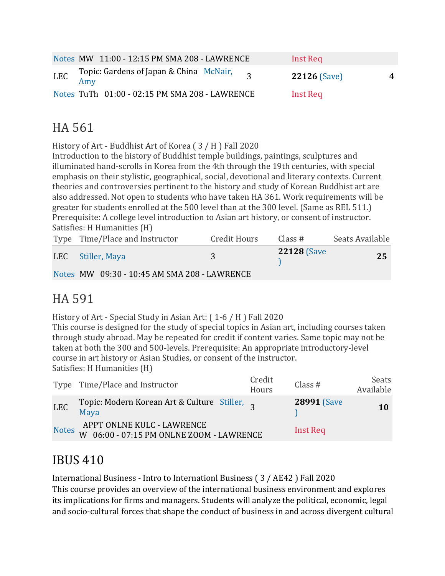|     |     | Notes MW 11:00 - 12:15 PM SMA 208 - LAWRENCE   |  | Inst Req            |   |
|-----|-----|------------------------------------------------|--|---------------------|---|
| LEC | Amy | Topic: Gardens of Japan & China McNair,        |  | <b>22126 (Save)</b> | 4 |
|     |     | Notes TuTh 01:00 - 02:15 PM SMA 208 - LAWRENCE |  | Inst Req            |   |

### HA 561

History of Art - Buddhist Art of Korea ( 3 / H ) Fall 2020

Introduction to the history of Buddhist temple buildings, paintings, sculptures and illuminated hand-scrolls in Korea from the 4th through the 19th centuries, with special emphasis on their stylistic, geographical, social, devotional and literary contexts. Current theories and controversies pertinent to the history and study of Korean Buddhist art are also addressed. Not open to students who have taken HA 361. Work requirements will be greater for students enrolled at the 500 level than at the 300 level. (Same as REL 511.) Prerequisite: A college level introduction to Asian art history, or consent of instructor. Satisfies: H Humanities (H)

| Type Time/Place and Instructor               | <b>Credit Hours</b> | Class $#$          | Seats Available |
|----------------------------------------------|---------------------|--------------------|-----------------|
| LEC Stiller, Maya                            |                     | <b>22128 (Save</b> | 25              |
| Notes MW 09:30 - 10:45 AM SMA 208 - LAWRENCE |                     |                    |                 |

#### HA 591

History of Art - Special Study in Asian Art: ( 1-6 / H ) Fall 2020

This course is designed for the study of special topics in Asian art, including courses taken through study abroad. May be repeated for credit if content varies. Same topic may not be taken at both the 300 and 500-levels. Prerequisite: An appropriate introductory-level course in art history or Asian Studies, or consent of the instructor. Satisfies: H Humanities (H)

|              | Type Time/Place and Instructor                                         | Credit<br>Hours | Class #            | Seats<br>Available |
|--------------|------------------------------------------------------------------------|-----------------|--------------------|--------------------|
| <b>LEC</b>   | Topic: Modern Korean Art & Culture Stiller, 2<br>Maya                  |                 | <b>28991 (Save</b> | 10                 |
| <b>Notes</b> | APPT ONLNE KULC - LAWRENCE<br>W 06:00 - 07:15 PM ONLNE ZOOM - LAWRENCE |                 | Inst Req           |                    |

# IBUS 410

International Business - Intro to Internationl Business ( 3 / AE42 ) Fall 2020 This course provides an overview of the international business environment and explores its implications for firms and managers. Students will analyze the political, economic, legal and socio-cultural forces that shape the conduct of business in and across divergent cultural